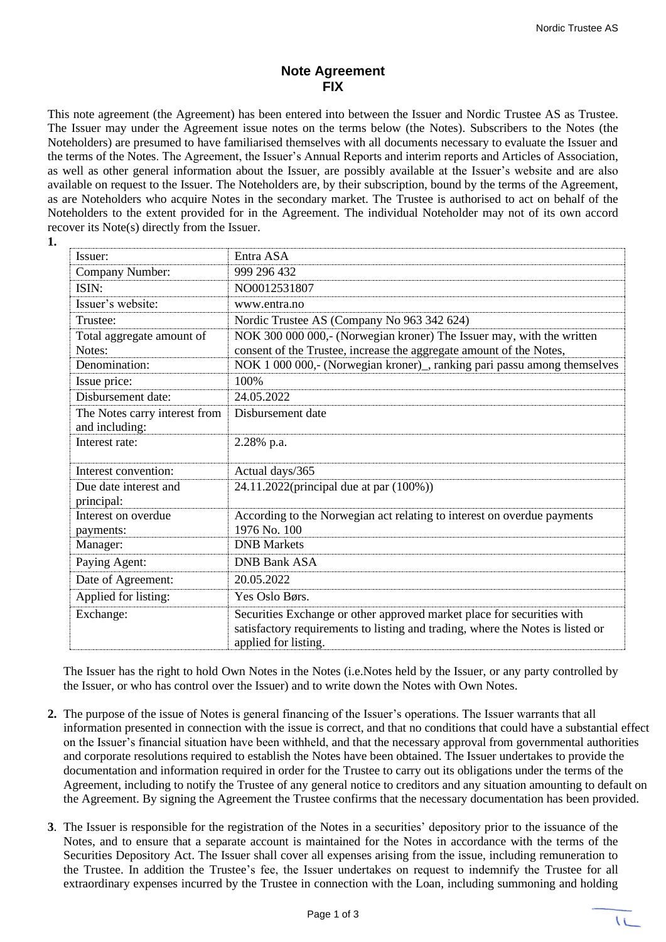## **Note Agreement FIX**

This note agreement (the Agreement) has been entered into between the Issuer and Nordic Trustee AS as Trustee. The Issuer may under the Agreement issue notes on the terms below (the Notes). Subscribers to the Notes (the Noteholders) are presumed to have familiarised themselves with all documents necessary to evaluate the Issuer and the terms of the Notes. The Agreement, the Issuer's Annual Reports and interim reports and Articles of Association, as well as other general information about the Issuer, are possibly available at the Issuer's website and are also available on request to the Issuer. The Noteholders are, by their subscription, bound by the terms of the Agreement, as are Noteholders who acquire Notes in the secondary market. The Trustee is authorised to act on behalf of the Noteholders to the extent provided for in the Agreement. The individual Noteholder may not of its own accord recover its Note(s) directly from the Issuer.

**1.**

| Issuer:                                         | Entra ASA                                                                                                                                                                        |
|-------------------------------------------------|----------------------------------------------------------------------------------------------------------------------------------------------------------------------------------|
| Company Number:                                 | 999 296 432                                                                                                                                                                      |
| ISIN:                                           | NO0012531807                                                                                                                                                                     |
| Issuer's website:                               | www.entra.no                                                                                                                                                                     |
| Trustee:                                        | Nordic Trustee AS (Company No 963 342 624)                                                                                                                                       |
| Total aggregate amount of                       | NOK 300 000 000,- (Norwegian kroner) The Issuer may, with the written                                                                                                            |
| Notes:                                          | consent of the Trustee, increase the aggregate amount of the Notes,                                                                                                              |
| Denomination:                                   | NOK 1 000 000,- (Norwegian kroner), ranking pari passu among themselves                                                                                                          |
| Issue price:                                    | 100%                                                                                                                                                                             |
| Disbursement date:                              | 24.05.2022                                                                                                                                                                       |
| The Notes carry interest from<br>and including: | Disbursement date                                                                                                                                                                |
| Interest rate:                                  | 2.28% p.a.                                                                                                                                                                       |
| Interest convention:                            | Actual days/365                                                                                                                                                                  |
| Due date interest and                           | 24.11.2022(principal due at par (100%))                                                                                                                                          |
| principal:                                      |                                                                                                                                                                                  |
| Interest on overdue<br>payments:                | According to the Norwegian act relating to interest on overdue payments<br>1976 No. 100                                                                                          |
| Manager:                                        | <b>DNB</b> Markets                                                                                                                                                               |
| Paying Agent:                                   | <b>DNB Bank ASA</b>                                                                                                                                                              |
| Date of Agreement:                              | 20.05.2022                                                                                                                                                                       |
| Applied for listing:                            | Yes Oslo Børs.                                                                                                                                                                   |
| Exchange:                                       | Securities Exchange or other approved market place for securities with<br>satisfactory requirements to listing and trading, where the Notes is listed or<br>applied for listing. |

The Issuer has the right to hold Own Notes in the Notes (i.e.Notes held by the Issuer, or any party controlled by the Issuer, or who has control over the Issuer) and to write down the Notes with Own Notes.

- **2.** The purpose of the issue of Notes is general financing of the Issuer's operations. The Issuer warrants that all information presented in connection with the issue is correct, and that no conditions that could have a substantial effect on the Issuer's financial situation have been withheld, and that the necessary approval from governmental authorities and corporate resolutions required to establish the Notes have been obtained. The Issuer undertakes to provide the documentation and information required in order for the Trustee to carry out its obligations under the terms of the Agreement, including to notify the Trustee of any general notice to creditors and any situation amounting to default on the Agreement. By signing the Agreement the Trustee confirms that the necessary documentation has been provided.
- **3**. The Issuer is responsible for the registration of the Notes in a securities' depository prior to the issuance of the Notes, and to ensure that a separate account is maintained for the Notes in accordance with the terms of the Securities Depository Act. The Issuer shall cover all expenses arising from the issue, including remuneration to the Trustee. In addition the Trustee's fee, the Issuer undertakes on request to indemnify the Trustee for all extraordinary expenses incurred by the Trustee in connection with the Loan, including summoning and holding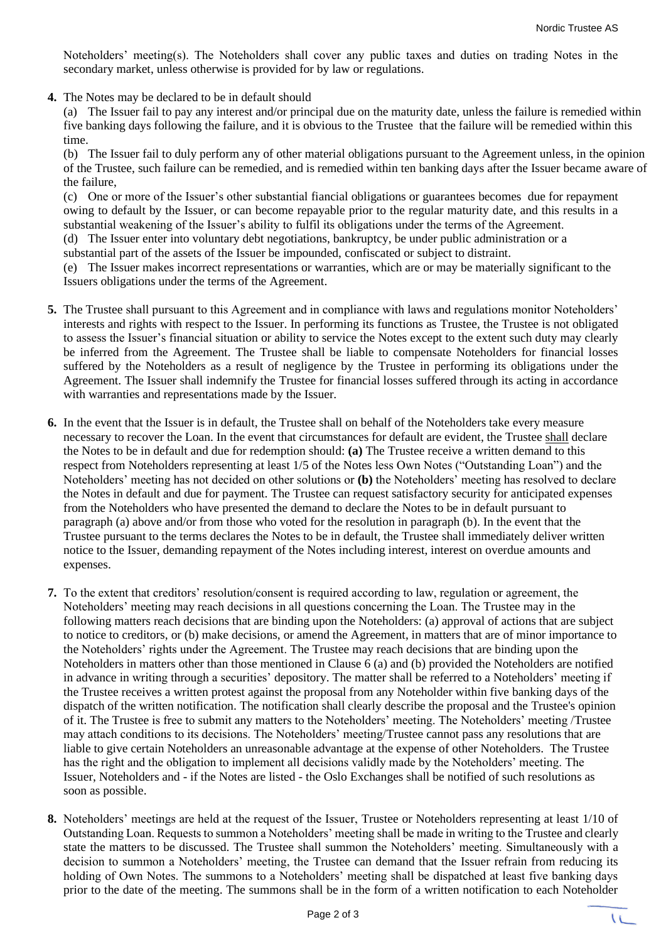Noteholders' meeting(s). The Noteholders shall cover any public taxes and duties on trading Notes in the secondary market, unless otherwise is provided for by law or regulations.

**4.** The Notes may be declared to be in default should

(a) The Issuer fail to pay any interest and/or principal due on the maturity date, unless the failure is remedied within five banking days following the failure, and it is obvious to the Trustee that the failure will be remedied within this time.

(b) The Issuer fail to duly perform any of other material obligations pursuant to the Agreement unless, in the opinion of the Trustee, such failure can be remedied, and is remedied within ten banking days after the Issuer became aware of the failure,

(c) One or more of the Issuer's other substantial fiancial obligations or guarantees becomes due for repayment owing to default by the Issuer, or can become repayable prior to the regular maturity date, and this results in a substantial weakening of the Issuer's ability to fulfil its obligations under the terms of the Agreement.

(d) The Issuer enter into voluntary debt negotiations, bankruptcy, be under public administration or a

substantial part of the assets of the Issuer be impounded, confiscated or subject to distraint.

(e) The Issuer makes incorrect representations or warranties, which are or may be materially significant to the Issuers obligations under the terms of the Agreement.

- **5.** The Trustee shall pursuant to this Agreement and in compliance with laws and regulations monitor Noteholders' interests and rights with respect to the Issuer. In performing its functions as Trustee, the Trustee is not obligated to assess the Issuer's financial situation or ability to service the Notes except to the extent such duty may clearly be inferred from the Agreement. The Trustee shall be liable to compensate Noteholders for financial losses suffered by the Noteholders as a result of negligence by the Trustee in performing its obligations under the Agreement. The Issuer shall indemnify the Trustee for financial losses suffered through its acting in accordance with warranties and representations made by the Issuer.
- **6.** In the event that the Issuer is in default, the Trustee shall on behalf of the Noteholders take every measure necessary to recover the Loan. In the event that circumstances for default are evident, the Trustee shall declare the Notes to be in default and due for redemption should: **(a)** The Trustee receive a written demand to this respect from Noteholders representing at least 1/5 of the Notes less Own Notes ("Outstanding Loan") and the Noteholders' meeting has not decided on other solutions or **(b)** the Noteholders' meeting has resolved to declare the Notes in default and due for payment. The Trustee can request satisfactory security for anticipated expenses from the Noteholders who have presented the demand to declare the Notes to be in default pursuant to paragraph (a) above and/or from those who voted for the resolution in paragraph (b). In the event that the Trustee pursuant to the terms declares the Notes to be in default, the Trustee shall immediately deliver written notice to the Issuer, demanding repayment of the Notes including interest, interest on overdue amounts and expenses.
- **7.** To the extent that creditors' resolution/consent is required according to law, regulation or agreement, the Noteholders' meeting may reach decisions in all questions concerning the Loan. The Trustee may in the following matters reach decisions that are binding upon the Noteholders: (a) approval of actions that are subject to notice to creditors, or (b) make decisions, or amend the Agreement, in matters that are of minor importance to the Noteholders' rights under the Agreement. The Trustee may reach decisions that are binding upon the Noteholders in matters other than those mentioned in Clause 6 (a) and (b) provided the Noteholders are notified in advance in writing through a securities' depository. The matter shall be referred to a Noteholders' meeting if the Trustee receives a written protest against the proposal from any Noteholder within five banking days of the dispatch of the written notification. The notification shall clearly describe the proposal and the Trustee's opinion of it. The Trustee is free to submit any matters to the Noteholders' meeting. The Noteholders' meeting /Trustee may attach conditions to its decisions. The Noteholders' meeting/Trustee cannot pass any resolutions that are liable to give certain Noteholders an unreasonable advantage at the expense of other Noteholders. The Trustee has the right and the obligation to implement all decisions validly made by the Noteholders' meeting. The Issuer, Noteholders and - if the Notes are listed - the Oslo Exchanges shall be notified of such resolutions as soon as possible.
- **8.** Noteholders' meetings are held at the request of the Issuer, Trustee or Noteholders representing at least 1/10 of Outstanding Loan. Requests to summon a Noteholders' meeting shall be made in writing to the Trustee and clearly state the matters to be discussed. The Trustee shall summon the Noteholders' meeting. Simultaneously with a decision to summon a Noteholders' meeting, the Trustee can demand that the Issuer refrain from reducing its holding of Own Notes. The summons to a Noteholders' meeting shall be dispatched at least five banking days prior to the date of the meeting. The summons shall be in the form of a written notification to each Noteholder